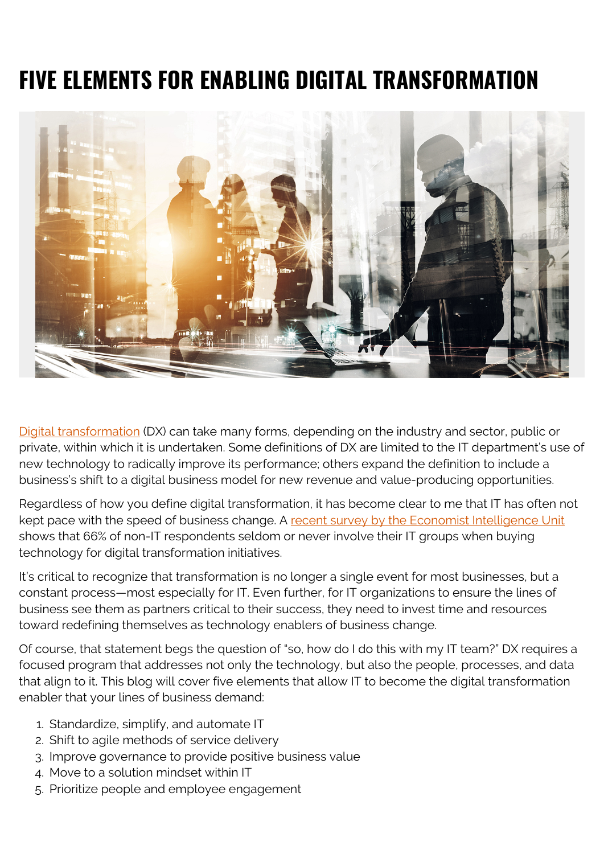# **FIVE ELEMENTS FOR ENABLING DIGITAL TRANSFORMATION**



[Digital transformation](https://blogs.bmc.com/blogs/what-is-digital-transformation/) (DX) can take many forms, depending on the industry and sector, public or private, within which it is undertaken. Some definitions of DX are limited to the IT department's use of new technology to radically improve its performance; others expand the definition to include a business's shift to a digital business model for new revenue and value-producing opportunities.

Regardless of how you define digital transformation, it has become clear to me that IT has often not kept pace with the speed of business change. A [recent survey by the Economist Intelligence Unit](https://blogs.bmc.com/forms/it-evolving-role-in-the-digital-transformation-era.html) shows that 66% of non-IT respondents seldom or never involve their IT groups when buying technology for digital transformation initiatives.

It's critical to recognize that transformation is no longer a single event for most businesses, but a constant process—most especially for IT. Even further, for IT organizations to ensure the lines of business see them as partners critical to their success, they need to invest time and resources toward redefining themselves as technology enablers of business change.

Of course, that statement begs the question of "so, how do I do this with my IT team?" DX requires a focused program that addresses not only the technology, but also the people, processes, and data that align to it. This blog will cover five elements that allow IT to become the digital transformation enabler that your lines of business demand:

- 1. Standardize, simplify, and automate IT
- 2. Shift to agile methods of service delivery
- 3. Improve governance to provide positive business value
- 4. Move to a solution mindset within IT
- 5. Prioritize people and employee engagement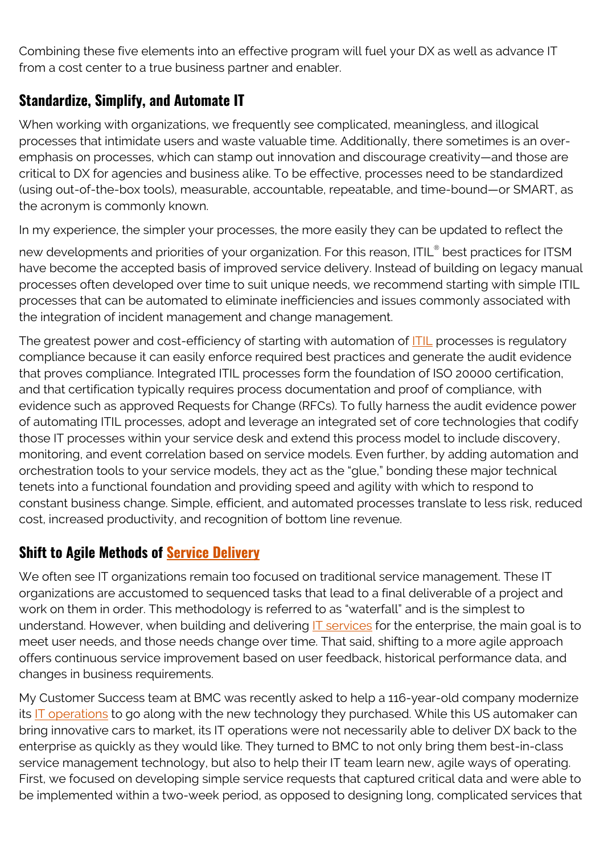Combining these five elements into an effective program will fuel your DX as well as advance IT from a cost center to a true business partner and enabler.

## **Standardize, Simplify, and Automate IT**

When working with organizations, we frequently see complicated, meaningless, and illogical processes that intimidate users and waste valuable time. Additionally, there sometimes is an overemphasis on processes, which can stamp out innovation and discourage creativity—and those are critical to DX for agencies and business alike. To be effective, processes need to be standardized (using out-of-the-box tools), measurable, accountable, repeatable, and time-bound—or SMART, as the acronym is commonly known.

In my experience, the simpler your processes, the more easily they can be updated to reflect the

new developments and priorities of your organization. For this reason, ITIL® best practices for ITSM have become the accepted basis of improved service delivery. Instead of building on legacy manual processes often developed over time to suit unique needs, we recommend starting with simple ITIL processes that can be automated to eliminate inefficiencies and issues commonly associated with the integration of incident management and change management.

The greatest power and cost-efficiency of starting with automation of **ITIL** processes is regulatory compliance because it can easily enforce required best practices and generate the audit evidence that proves compliance. Integrated ITIL processes form the foundation of ISO 20000 certification, and that certification typically requires process documentation and proof of compliance, with evidence such as approved Requests for Change (RFCs). To fully harness the audit evidence power of automating ITIL processes, adopt and leverage an integrated set of core technologies that codify those IT processes within your service desk and extend this process model to include discovery, monitoring, and event correlation based on service models. Even further, by adding automation and orchestration tools to your service models, they act as the "glue," bonding these major technical tenets into a functional foundation and providing speed and agility with which to respond to constant business change. Simple, efficient, and automated processes translate to less risk, reduced cost, increased productivity, and recognition of bottom line revenue.

## **Shift to Agile Methods of [Service Delivery](https://blogs.bmc.com/blogs/itil-service-delivery/)**

We often see IT organizations remain too focused on traditional service management. These IT organizations are accustomed to sequenced tasks that lead to a final deliverable of a project and work on them in order. This methodology is referred to as "waterfall" and is the simplest to understand. However, when building and delivering [IT services](https://blogs.bmc.com/blogs/it-service/) for the enterprise, the main goal is to meet user needs, and those needs change over time. That said, shifting to a more agile approach offers continuous service improvement based on user feedback, historical performance data, and changes in business requirements.

My Customer Success team at BMC was recently asked to help a 116-year-old company modernize its  $IT$  operations to go along with the new technology they purchased. While this US automaker can bring innovative cars to market, its IT operations were not necessarily able to deliver DX back to the enterprise as quickly as they would like. They turned to BMC to not only bring them best-in-class service management technology, but also to help their IT team learn new, agile ways of operating. First, we focused on developing simple service requests that captured critical data and were able to be implemented within a two-week period, as opposed to designing long, complicated services that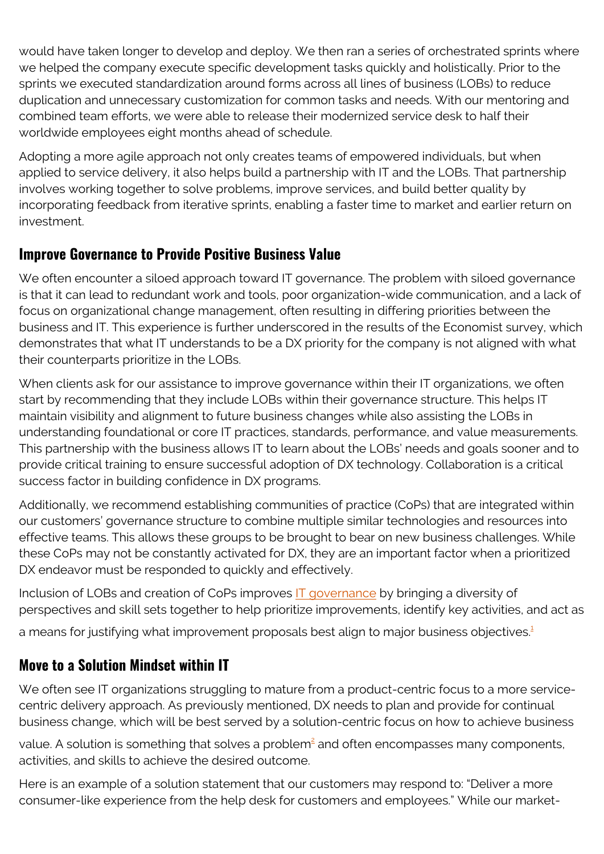would have taken longer to develop and deploy. We then ran a series of orchestrated sprints where we helped the company execute specific development tasks quickly and holistically. Prior to the sprints we executed standardization around forms across all lines of business (LOBs) to reduce duplication and unnecessary customization for common tasks and needs. With our mentoring and combined team efforts, we were able to release their modernized service desk to half their worldwide employees eight months ahead of schedule.

Adopting a more agile approach not only creates teams of empowered individuals, but when applied to service delivery, it also helps build a partnership with IT and the LOBs. That partnership involves working together to solve problems, improve services, and build better quality by incorporating feedback from iterative sprints, enabling a faster time to market and earlier return on investment.

#### **Improve Governance to Provide Positive Business Value**

We often encounter a siloed approach toward IT governance. The problem with siloed governance is that it can lead to redundant work and tools, poor organization-wide communication, and a lack of focus on organizational change management, often resulting in differing priorities between the business and IT. This experience is further underscored in the results of the Economist survey, which demonstrates that what IT understands to be a DX priority for the company is not aligned with what their counterparts prioritize in the LOBs.

When clients ask for our assistance to improve governance within their IT organizations, we often start by recommending that they include LOBs within their governance structure. This helps IT maintain visibility and alignment to future business changes while also assisting the LOBs in understanding foundational or core IT practices, standards, performance, and value measurements. This partnership with the business allows IT to learn about the LOBs' needs and goals sooner and to provide critical training to ensure successful adoption of DX technology. Collaboration is a critical success factor in building confidence in DX programs.

Additionally, we recommend establishing communities of practice (CoPs) that are integrated within our customers' governance structure to combine multiple similar technologies and resources into effective teams. This allows these groups to be brought to bear on new business challenges. While these CoPs may not be constantly activated for DX, they are an important factor when a prioritized DX endeavor must be responded to quickly and effectively.

Inclusion of LOBs and creation of CoPs improves [IT governance](https://blogs.bmc.com/blogs/it-governance/) by bringing a diversity of perspectives and skill sets together to help prioritize improvements, identify key activities, and act as

a means for justifying what improvement proposals best align to major business objectives.<sup>[1](#page--1-0)</sup>

## **Move to a Solution Mindset within IT**

We often see IT organizations struggling to mature from a product-centric focus to a more servicecentric delivery approach. As previously mentioned, DX needs to plan and provide for continual business change, which will be best served by a solution-centric focus on how to achieve business

value. A solution is something that solves a problem $\frac{2}{3}$  $\frac{2}{3}$  $\frac{2}{3}$  and often encompasses many components, activities, and skills to achieve the desired outcome.

Here is an example of a solution statement that our customers may respond to: "Deliver a more consumer-like experience from the help desk for customers and employees." While our market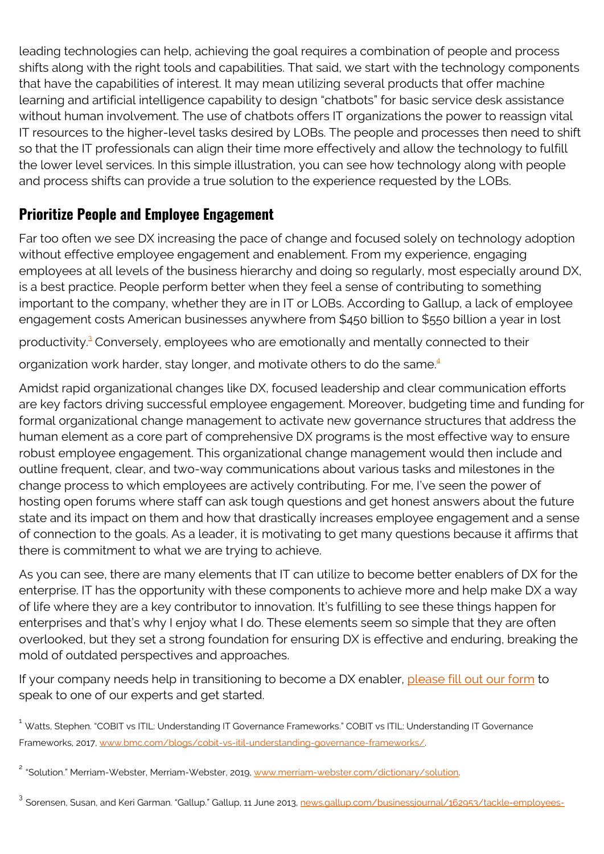leading technologies can help, achieving the goal requires a combination of people and process shifts along with the right tools and capabilities. That said, we start with the technology components that have the capabilities of interest. It may mean utilizing several products that offer machine learning and artificial intelligence capability to design "chatbots" for basic service desk assistance without human involvement. The use of chatbots offers IT organizations the power to reassign vital IT resources to the higher-level tasks desired by LOBs. The people and processes then need to shift so that the IT professionals can align their time more effectively and allow the technology to fulfill the lower level services. In this simple illustration, you can see how technology along with people and process shifts can provide a true solution to the experience requested by the LOBs.

## **Prioritize People and Employee Engagement**

Far too often we see DX increasing the pace of change and focused solely on technology adoption without effective employee engagement and enablement. From my experience, engaging employees at all levels of the business hierarchy and doing so regularly, most especially around DX, is a best practice. People perform better when they feel a sense of contributing to something important to the company, whether they are in IT or LOBs. According to Gallup, a lack of employee engagement costs American businesses anywhere from \$450 billion to \$550 billion a year in lost

productivity.<sup>[3](#page--1-0)</sup> Conversely, employees who are emotionally and mentally connected to their

organization work harder, stay longer, and motivate others to do the same.<sup>[4](#page--1-0)</sup>

Amidst rapid organizational changes like DX, focused leadership and clear communication efforts are key factors driving successful employee engagement. Moreover, budgeting time and funding for formal organizational change management to activate new governance structures that address the human element as a core part of comprehensive DX programs is the most effective way to ensure robust employee engagement. This organizational change management would then include and outline frequent, clear, and two-way communications about various tasks and milestones in the change process to which employees are actively contributing. For me, I've seen the power of hosting open forums where staff can ask tough questions and get honest answers about the future state and its impact on them and how that drastically increases employee engagement and a sense of connection to the goals. As a leader, it is motivating to get many questions because it affirms that there is commitment to what we are trying to achieve.

As you can see, there are many elements that IT can utilize to become better enablers of DX for the enterprise. IT has the opportunity with these components to achieve more and help make DX a way of life where they are a key contributor to innovation. It's fulfilling to see these things happen for enterprises and that's why I enjoy what I do. These elements seem so simple that they are often overlooked, but they set a strong foundation for ensuring DX is effective and enduring, breaking the mold of outdated perspectives and approaches.

If your company needs help in transitioning to become a DX enabler, [please fill out our form](https://blogs.bmc.com/forms/contact-customer-success-services.html) to speak to one of our experts and get started.

<sup>&</sup>lt;sup>1</sup> Watts, Stephen. "COBIT vs ITIL: Understanding IT Governance Frameworks." COBIT vs ITIL: Understanding IT Governance Frameworks, 2017, [www.bmc.com/blogs/cobit-vs-itil-understanding-governance-frameworks/.](https://blogs.bmc.com/blogs/cobit-vs-itil-understanding-governance-frameworks/)

<sup>&</sup>lt;sup>2</sup> "Solution." Merriam-Webster, Merriam-Webster, 2019, [www.merriam-webster.com/dictionary/solution](http://www.merriam-webster.com/dictionary/solution).

<sup>&</sup>lt;sup>3</sup> Sorensen, Susan, and Keri Garman. "Gallup." Gallup, 11 June 2013, <u>news.gallup.com/businessjournal/162953/tackle-employees-</u>